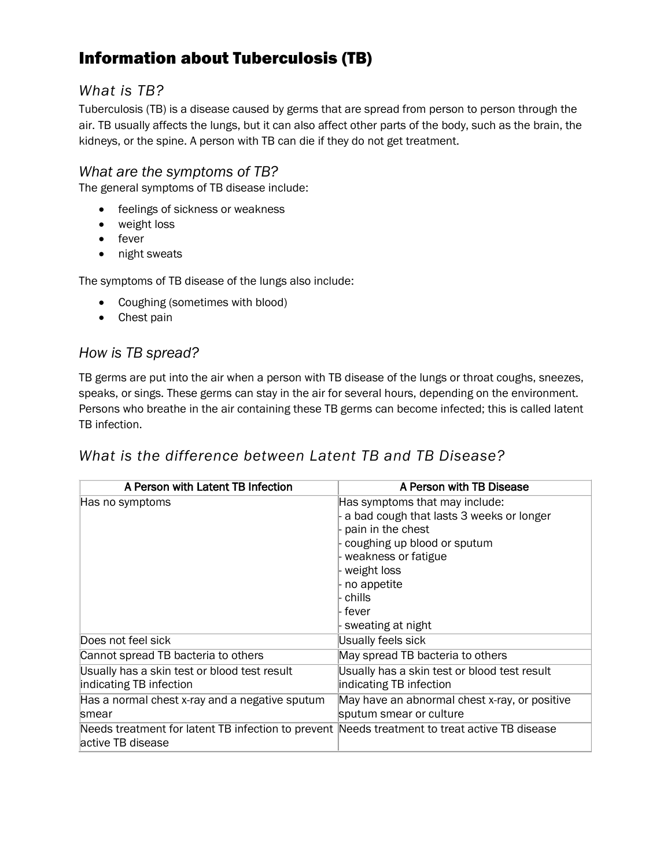# Information about Tuberculosis (TB)

### *What is TB?*

Tuberculosis (TB) is a disease caused by germs that are spread from person to person through the air. TB usually affects the lungs, but it can also affect other parts of the body, such as the brain, the kidneys, or the spine. A person with TB can die if they do not get treatment.

#### *What are the symptoms of TB?*

The general symptoms of TB disease include:

- **•** feelings of sickness or weakness
- weight loss
- fever
- night sweats

The symptoms of TB disease of the lungs also include:

- Coughing (sometimes with blood)
- Chest pain

#### *How is TB spread?*

TB germs are put into the air when a person with TB disease of the lungs or throat coughs, sneezes, speaks, or sings. These germs can stay in the air for several hours, depending on the environment. Persons who breathe in the air containing these TB germs can become infected; this is called latent TB infection.

## *What is the difference between Latent TB and TB Disease?*

| A Person with Latent TB Infection                                                                                   | A Person with TB Disease                      |
|---------------------------------------------------------------------------------------------------------------------|-----------------------------------------------|
| Has no symptoms                                                                                                     | Has symptoms that may include:                |
|                                                                                                                     | a bad cough that lasts 3 weeks or longer      |
|                                                                                                                     | pain in the chest                             |
|                                                                                                                     | coughing up blood or sputum                   |
|                                                                                                                     | weakness or fatigue                           |
|                                                                                                                     | weight loss                                   |
|                                                                                                                     | no appetite                                   |
|                                                                                                                     | chills                                        |
|                                                                                                                     | fever                                         |
|                                                                                                                     | sweating at night                             |
| Does not feel sick                                                                                                  | Usually feels sick                            |
| Cannot spread TB bacteria to others                                                                                 | May spread TB bacteria to others              |
| Usually has a skin test or blood test result                                                                        | Usually has a skin test or blood test result  |
| indicating TB infection                                                                                             | indicating TB infection                       |
| Has a normal chest x-ray and a negative sputum                                                                      | May have an abnormal chest x-ray, or positive |
| smear                                                                                                               | sputum smear or culture                       |
| Needs treatment for latent TB infection to prevent Needs treatment to treat active TB disease<br>lactive TB disease |                                               |